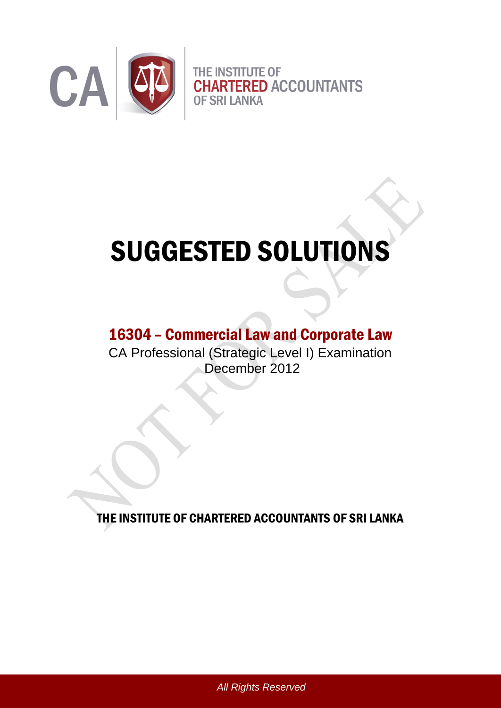

# SUGGESTED SOLUTIONS

## 16304 – Commercial Law and Corporate Law

CA Professional (Strategic Level I) Examination December 2012

THE INSTITUTE OF CHARTERED ACCOUNTANTS OF SRI LANKA

*All Rights Reserved*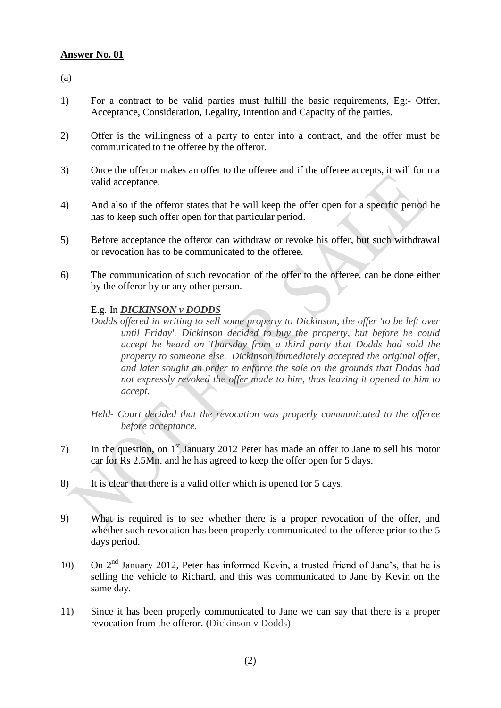(a)

- 1) For a contract to be valid parties must fulfill the basic requirements, Eg:- Offer, Acceptance, Consideration, Legality, Intention and Capacity of the parties.
- 2) Offer is the willingness of a party to enter into a contract, and the offer must be communicated to the offeree by the offeror.
- 3) Once the offeror makes an offer to the offeree and if the offeree accepts, it will form a valid acceptance.
- 4) And also if the offeror states that he will keep the offer open for a specific period he has to keep such offer open for that particular period.
- 5) Before acceptance the offeror can withdraw or revoke his offer, but such withdrawal or revocation has to be communicated to the offeree.
- 6) The communication of such revocation of the offer to the offeree, can be done either by the offeror by or any other person.

#### E.g. In *DICKINSON v DODDS*

- *Dodds offered in writing to sell some property to Dickinson, the offer 'to be left over until Friday'. Dickinson decided to buy the property, but before he could accept he heard on Thursday from a third party that Dodds had sold the property to someone else. Dickinson immediately accepted the original offer, and later sought an order to enforce the sale on the grounds that Dodds had not expressly revoked the offer made to him, thus leaving it opened to him to accept.*
- *Held- Court decided that the revocation was properly communicated to the offeree before acceptance.*
- 7) In the question, on 1<sup>st</sup> January 2012 Peter has made an offer to Jane to sell his motor car for Rs 2.5Mn. and he has agreed to keep the offer open for 5 days.
- 8) It is clear that there is a valid offer which is opened for 5 days.
- 9) What is required is to see whether there is a proper revocation of the offer, and whether such revocation has been properly communicated to the offeree prior to the 5 days period.
- 10) On 2<sup>nd</sup> January 2012, Peter has informed Kevin, a trusted friend of Jane's, that he is selling the vehicle to Richard, and this was communicated to Jane by Kevin on the same day.
- 11) Since it has been properly communicated to Jane we can say that there is a proper revocation from the offeror. (Dickinson v Dodds)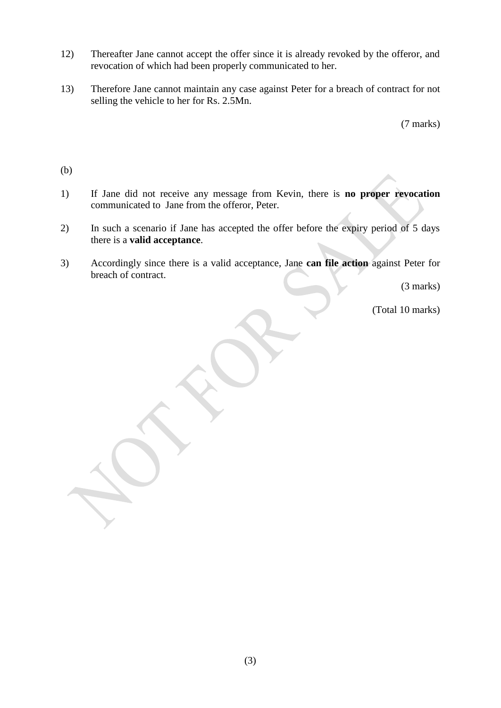- 12) Thereafter Jane cannot accept the offer since it is already revoked by the offeror, and revocation of which had been properly communicated to her.
- 13) Therefore Jane cannot maintain any case against Peter for a breach of contract for not selling the vehicle to her for Rs. 2.5Mn.

(7 marks)

- (b)
- 1) If Jane did not receive any message from Kevin, there is **no proper revocation**  communicated to Jane from the offeror, Peter.
- 2) In such a scenario if Jane has accepted the offer before the expiry period of 5 days there is a **valid acceptance**.
- 3) Accordingly since there is a valid acceptance, Jane **can file action** against Peter for breach of contract.

(3 marks)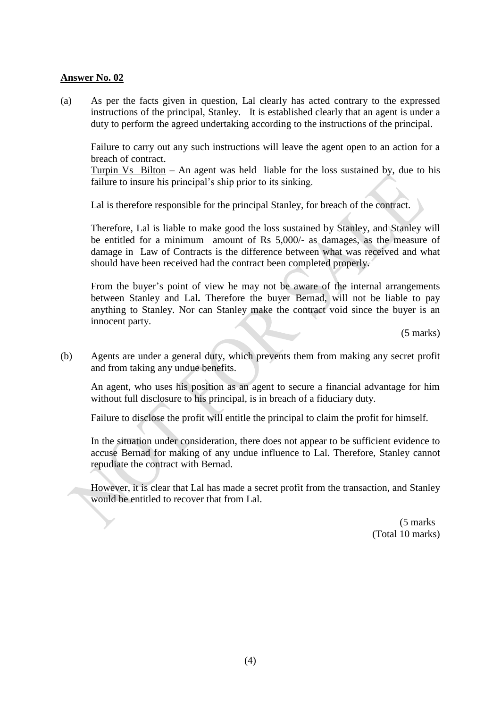(a) As per the facts given in question, Lal clearly has acted contrary to the expressed instructions of the principal, Stanley. It is established clearly that an agent is under a duty to perform the agreed undertaking according to the instructions of the principal.

Failure to carry out any such instructions will leave the agent open to an action for a breach of contract.

Turpin Vs Bilton – An agent was held liable for the loss sustained by, due to his failure to insure his principal's ship prior to its sinking.

Lal is therefore responsible for the principal Stanley, for breach of the contract.

Therefore, Lal is liable to make good the loss sustained by Stanley, and Stanley will be entitled for a minimum amount of Rs 5,000/- as damages, as the measure of damage in Law of Contracts is the difference between what was received and what should have been received had the contract been completed properly.

From the buyer's point of view he may not be aware of the internal arrangements between Stanley and Lal**.** Therefore the buyer Bernad, will not be liable to pay anything to Stanley. Nor can Stanley make the contract void since the buyer is an innocent party.

(5 marks)

(b) Agents are under a general duty, which prevents them from making any secret profit and from taking any undue benefits.

An agent, who uses his position as an agent to secure a financial advantage for him without full disclosure to his principal, is in breach of a fiduciary duty.

Failure to disclose the profit will entitle the principal to claim the profit for himself.

In the situation under consideration, there does not appear to be sufficient evidence to accuse Bernad for making of any undue influence to Lal. Therefore, Stanley cannot repudiate the contract with Bernad.

However, it is clear that Lal has made a secret profit from the transaction, and Stanley would be entitled to recover that from Lal.

> (5 marks (Total 10 marks)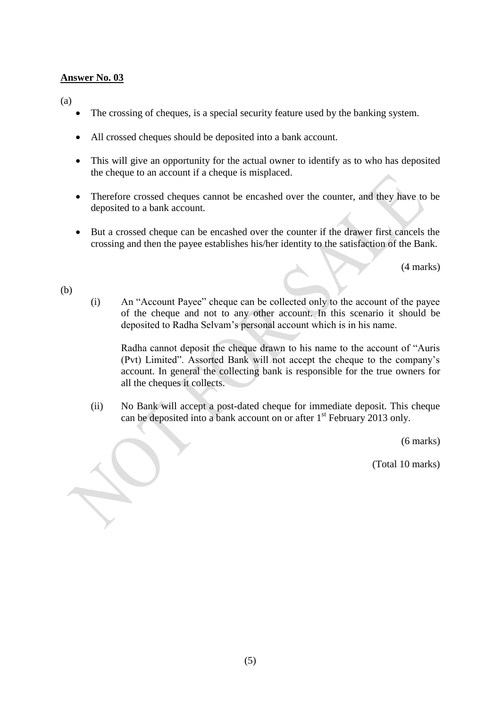(a)

- The crossing of cheques, is a special security feature used by the banking system.
- All crossed cheques should be deposited into a bank account.
- This will give an opportunity for the actual owner to identify as to who has deposited the cheque to an account if a cheque is misplaced.
- Therefore crossed cheques cannot be encashed over the counter, and they have to be deposited to a bank account.
- But a crossed cheque can be encashed over the counter if the drawer first cancels the crossing and then the payee establishes his/her identity to the satisfaction of the Bank.

(4 marks)

(b)

(i) An "Account Payee" cheque can be collected only to the account of the payee of the cheque and not to any other account. In this scenario it should be deposited to Radha Selvam's personal account which is in his name.

Radha cannot deposit the cheque drawn to his name to the account of "Auris (Pvt) Limited". Assorted Bank will not accept the cheque to the company's account. In general the collecting bank is responsible for the true owners for all the cheques it collects.

(ii) No Bank will accept a post-dated cheque for immediate deposit. This cheque can be deposited into a bank account on or after 1<sup>st</sup> February 2013 only.

(6 marks)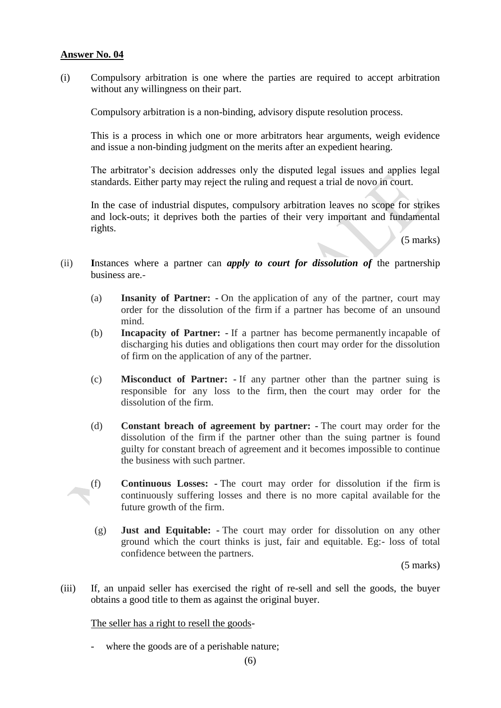(i) Compulsory arbitration is one where the parties are required to accept arbitration without any willingness on their part.

Compulsory arbitration is a non-binding, advisory dispute resolution process.

This is a process in which one or more arbitrators hear arguments, weigh evidence and issue a non-binding judgment on the merits after an expedient hearing.

The arbitrator's decision addresses only the disputed legal issues and applies legal standards. Either party may reject the ruling and request a trial de novo in court.

In the case of industrial disputes, compulsory arbitration leaves no scope for strikes and lock-outs; it deprives both the parties of their very important and fundamental rights.

(5 marks)

- (ii) **I**nstances where a partner can *apply to court for dissolution of* the partnership business are.-
	- (a) **Insanity of Partner: -** On the application of any of the partner, court may order for the dissolution of the firm if a partner has become of an unsound mind.
	- (b) **Incapacity of Partner: -** If a partner has become permanently incapable of discharging his duties and obligations then court may order for the dissolution of firm on the application of any of the partner.
	- (c) **Misconduct of Partner: -** If any partner other than the partner suing is responsible for any loss to the firm, then the court may order for the dissolution of the firm.
	- (d) **Constant breach of agreement by partner: -** The court may order for the dissolution of the firm if the partner other than the suing partner is found guilty for constant breach of agreement and it becomes impossible to continue the business with such partner.
	- (f) **Continuous Losses: -** The court may order for dissolution if the firm is continuously suffering losses and there is no more capital available for the future growth of the firm.
	- (g) **Just and Equitable: -** The court may order for dissolution on any other ground which the court thinks is just, fair and equitable. Eg:- loss of total confidence between the partners.

(5 marks)

(iii) If, an unpaid seller has exercised the right of re-sell and sell the goods, the buyer obtains a good title to them as against the original buyer.

The seller has a right to resell the goods-

where the goods are of a perishable nature;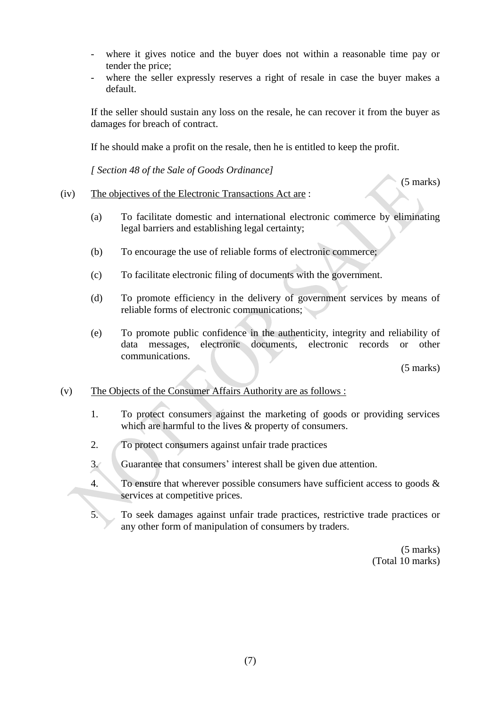- where it gives notice and the buyer does not within a reasonable time pay or tender the price;
- where the seller expressly reserves a right of resale in case the buyer makes a default.

If the seller should sustain any loss on the resale, he can recover it from the buyer as damages for breach of contract.

If he should make a profit on the resale, then he is entitled to keep the profit.

*[ Section 48 of the Sale of Goods Ordinance]* 

(5 marks)

#### (iv) The objectives of the Electronic Transactions Act are :

- (a) To facilitate domestic and international electronic commerce by eliminating legal barriers and establishing legal certainty;
- (b) To encourage the use of reliable forms of electronic commerce;
- (c) To facilitate electronic filing of documents with the government.
- (d) To promote efficiency in the delivery of government services by means of reliable forms of electronic communications;
- (e) To promote public confidence in the authenticity, integrity and reliability of data messages, electronic documents, electronic records or other communications.

(5 marks)

#### (v) The Objects of the Consumer Affairs Authority are as follows :

- 1. To protect consumers against the marketing of goods or providing services which are harmful to the lives  $&$  property of consumers.
- 2. To protect consumers against unfair trade practices
- 3. Guarantee that consumers' interest shall be given due attention.
- 4. To ensure that wherever possible consumers have sufficient access to goods  $\&$ services at competitive prices.
- 5. To seek damages against unfair trade practices, restrictive trade practices or any other form of manipulation of consumers by traders.

(5 marks) (Total 10 marks)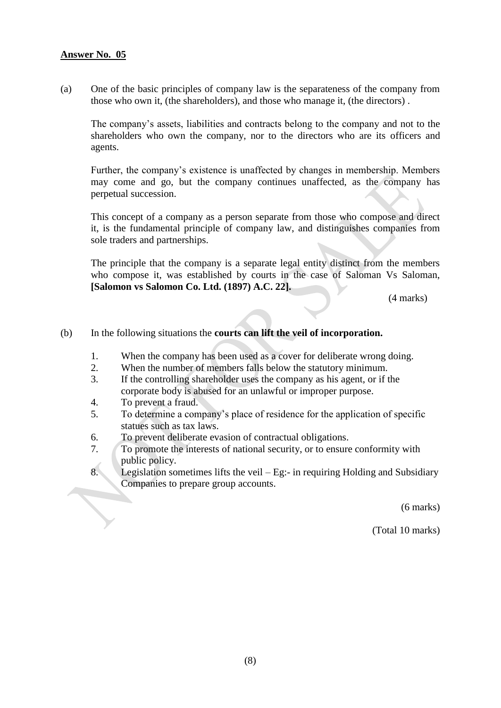(a) One of the basic principles of company law is the separateness of the company from those who own it, (the shareholders), and those who manage it, (the directors) .

The company's assets, liabilities and contracts belong to the company and not to the shareholders who own the company, nor to the directors who are its officers and agents.

Further, the company's existence is unaffected by changes in membership. Members may come and go, but the company continues unaffected, as the company has perpetual succession.

 This concept of a company as a person separate from those who compose and direct it, is the fundamental principle of company law, and distinguishes companies from sole traders and partnerships.

The principle that the company is a separate legal entity distinct from the members who compose it, was established by courts in the case of Saloman Vs Saloman, **[Salomon vs Salomon Co. Ltd. (1897) A.C. 22].** 

(4 marks)

#### (b) In the following situations the **courts can lift the veil of incorporation.**

- 1. When the company has been used as a cover for deliberate wrong doing.
- 2. When the number of members falls below the statutory minimum.
- 3. If the controlling shareholder uses the company as his agent, or if the corporate body is abused for an unlawful or improper purpose.
- 4. To prevent a fraud.
- 5. To determine a company's place of residence for the application of specific statues such as tax laws.
- 6. To prevent deliberate evasion of contractual obligations.
- 7. To promote the interests of national security, or to ensure conformity with public policy.
- 8. Legislation sometimes lifts the veil Eg:- in requiring Holding and Subsidiary Companies to prepare group accounts.

(6 marks)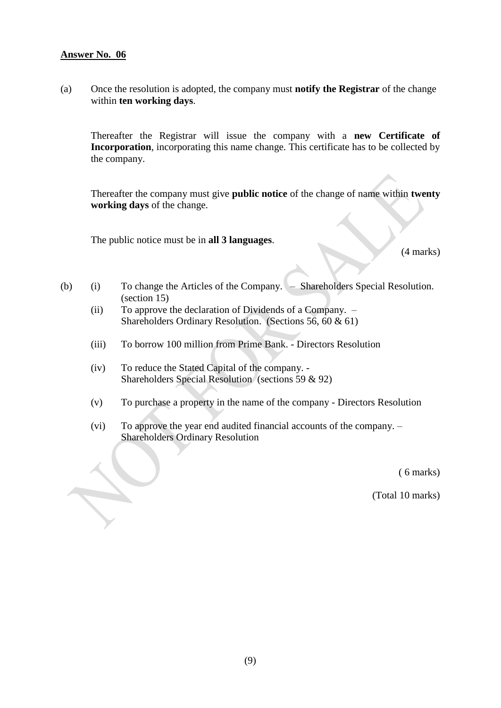(a) Once the resolution is adopted, the company must **notify the Registrar** of the change within **ten working days**.

Thereafter the Registrar will issue the company with a **new Certificate of Incorporation**, incorporating this name change. This certificate has to be collected by the company.

Thereafter the company must give **public notice** of the change of name within **twenty working days** of the change.

The public notice must be in **all 3 languages**.

(4 marks)

- (b) (i) To change the Articles of the Company. Shareholders Special Resolution. (section 15)
	- (ii) To approve the declaration of Dividends of a Company. Shareholders Ordinary Resolution. (Sections 56, 60 & 61)
	- (iii) To borrow 100 million from Prime Bank. Directors Resolution
	- (iv) To reduce the Stated Capital of the company. Shareholders Special Resolution (sections 59 & 92)
	- (v) To purchase a property in the name of the company Directors Resolution
	- (vi) To approve the year end audited financial accounts of the company. Shareholders Ordinary Resolution

( 6 marks)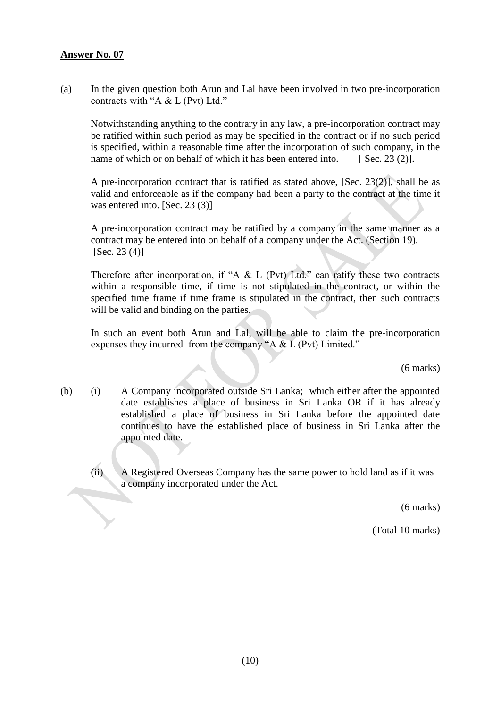(a) In the given question both Arun and Lal have been involved in two pre-incorporation contracts with "A & L (Pvt) Ltd."

Notwithstanding anything to the contrary in any law, a pre-incorporation contract may be ratified within such period as may be specified in the contract or if no such period is specified, within a reasonable time after the incorporation of such company, in the name of which or on behalf of which it has been entered into.  $[$  Sec. 23 (2)].

A pre-incorporation contract that is ratified as stated above, [Sec. 23(2)], shall be as valid and enforceable as if the company had been a party to the contract at the time it was entered into. [Sec. 23 (3)]

A pre-incorporation contract may be ratified by a company in the same manner as a contract may be entered into on behalf of a company under the Act. (Section 19).  $[Sec. 23 (4)]$ 

Therefore after incorporation, if "A  $&$  L (Pvt) Ltd." can ratify these two contracts within a responsible time, if time is not stipulated in the contract, or within the specified time frame if time frame is stipulated in the contract, then such contracts will be valid and binding on the parties.

In such an event both Arun and Lal, will be able to claim the pre-incorporation expenses they incurred from the company "A & L (Pvt) Limited."

(6 marks)

- (b) (i) A Company incorporated outside Sri Lanka; which either after the appointed date establishes a place of business in Sri Lanka OR if it has already established a place of business in Sri Lanka before the appointed date continues to have the established place of business in Sri Lanka after the appointed date.
	- (ii) A Registered Overseas Company has the same power to hold land as if it was a company incorporated under the Act.

(6 marks)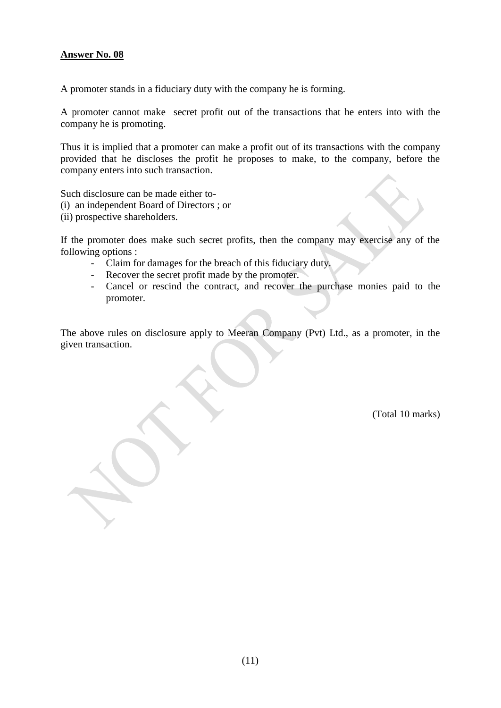A promoter stands in a fiduciary duty with the company he is forming.

A promoter cannot make secret profit out of the transactions that he enters into with the company he is promoting.

Thus it is implied that a promoter can make a profit out of its transactions with the company provided that he discloses the profit he proposes to make, to the company, before the company enters into such transaction.

Such disclosure can be made either to-

- (i) an independent Board of Directors ; or
- (ii) prospective shareholders.

If the promoter does make such secret profits, then the company may exercise any of the following options :

- Claim for damages for the breach of this fiduciary duty.
- Recover the secret profit made by the promoter.
- Cancel or rescind the contract, and recover the purchase monies paid to the promoter.

The above rules on disclosure apply to Meeran Company (Pvt) Ltd., as a promoter, in the given transaction.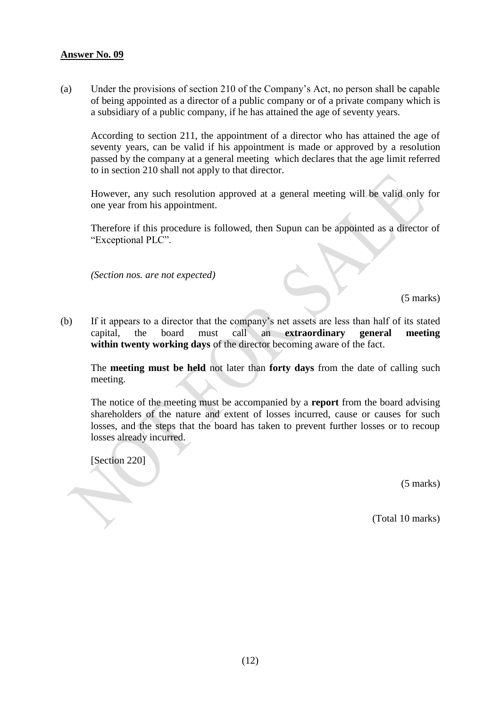(a) Under the provisions of section 210 of the Company's Act, no person shall be capable of being appointed as a director of a public company or of a private company which is a subsidiary of a public company, if he has attained the age of seventy years.

According to section 211, the appointment of a director who has attained the age of seventy years, can be valid if his appointment is made or approved by a resolution passed by the company at a general meeting which declares that the age limit referred to in section 210 shall not apply to that director.

However, any such resolution approved at a general meeting will be valid only for one year from his appointment.

Therefore if this procedure is followed, then Supun can be appointed as a director of "Exceptional PLC".

*(Section nos. are not expected)*

(5 marks)

(b) If it appears to a director that the company's net assets are less than half of its stated capital, the board must call an **extraordinary general meeting within twenty working days** of the director becoming aware of the fact.

The **meeting must be held** not later than **forty days** from the date of calling such meeting.

The notice of the meeting must be accompanied by a **report** from the board advising shareholders of the nature and extent of losses incurred, cause or causes for such losses, and the steps that the board has taken to prevent further losses or to recoup losses already incurred.

[Section 220]

(5 marks)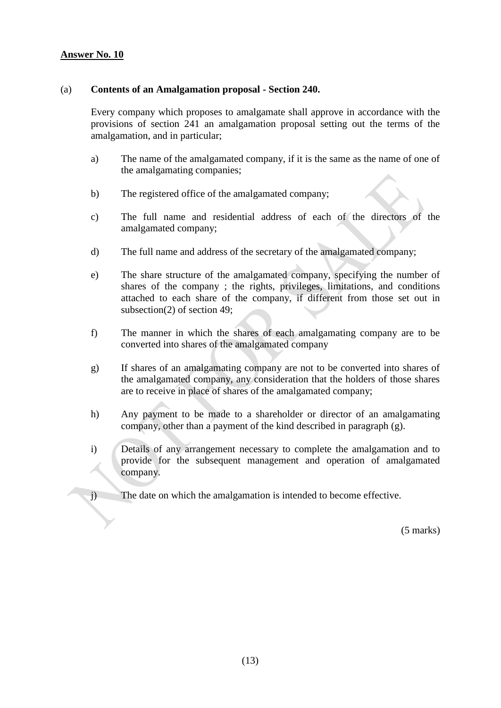#### (a) **Contents of an Amalgamation proposal - Section 240.**

Every company which proposes to amalgamate shall approve in accordance with the provisions of section 241 an amalgamation proposal setting out the terms of the amalgamation, and in particular;

- a) The name of the amalgamated company, if it is the same as the name of one of the amalgamating companies;
- b) The registered office of the amalgamated company;
- c) The full name and residential address of each of the directors of the amalgamated company;
- d) The full name and address of the secretary of the amalgamated company;
- e) The share structure of the amalgamated company, specifying the number of shares of the company ; the rights, privileges, limitations, and conditions attached to each share of the company, if different from those set out in subsection(2) of section 49;
- f) The manner in which the shares of each amalgamating company are to be converted into shares of the amalgamated company
- g) If shares of an amalgamating company are not to be converted into shares of the amalgamated company, any consideration that the holders of those shares are to receive in place of shares of the amalgamated company;
- h) Any payment to be made to a shareholder or director of an amalgamating company, other than a payment of the kind described in paragraph (g).
- i) Details of any arrangement necessary to complete the amalgamation and to provide for the subsequent management and operation of amalgamated company.

j) The date on which the amalgamation is intended to become effective.

(5 marks)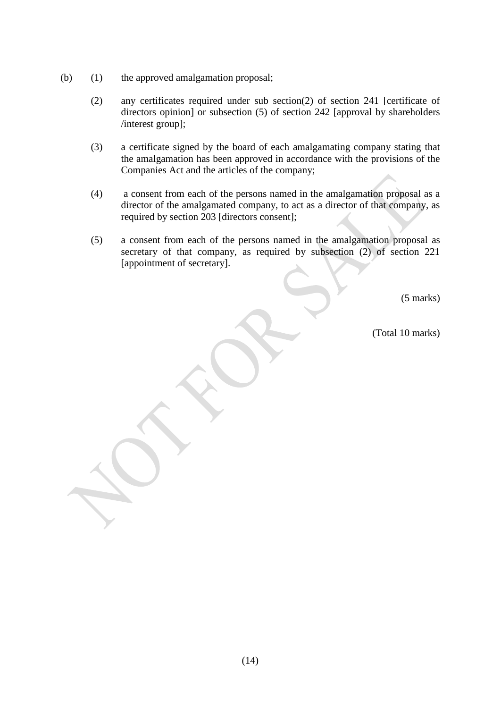- (b) (1) the approved amalgamation proposal;
	- (2) any certificates required under sub section(2) of section 241 [certificate of directors opinion] or subsection (5) of section 242 [approval by shareholders /interest group];
	- (3) a certificate signed by the board of each amalgamating company stating that the amalgamation has been approved in accordance with the provisions of the Companies Act and the articles of the company;
	- (4) a consent from each of the persons named in the amalgamation proposal as a director of the amalgamated company, to act as a director of that company, as required by section 203 [directors consent];
	- (5) a consent from each of the persons named in the amalgamation proposal as secretary of that company, as required by subsection (2) of section 221 [appointment of secretary].

(5 marks)